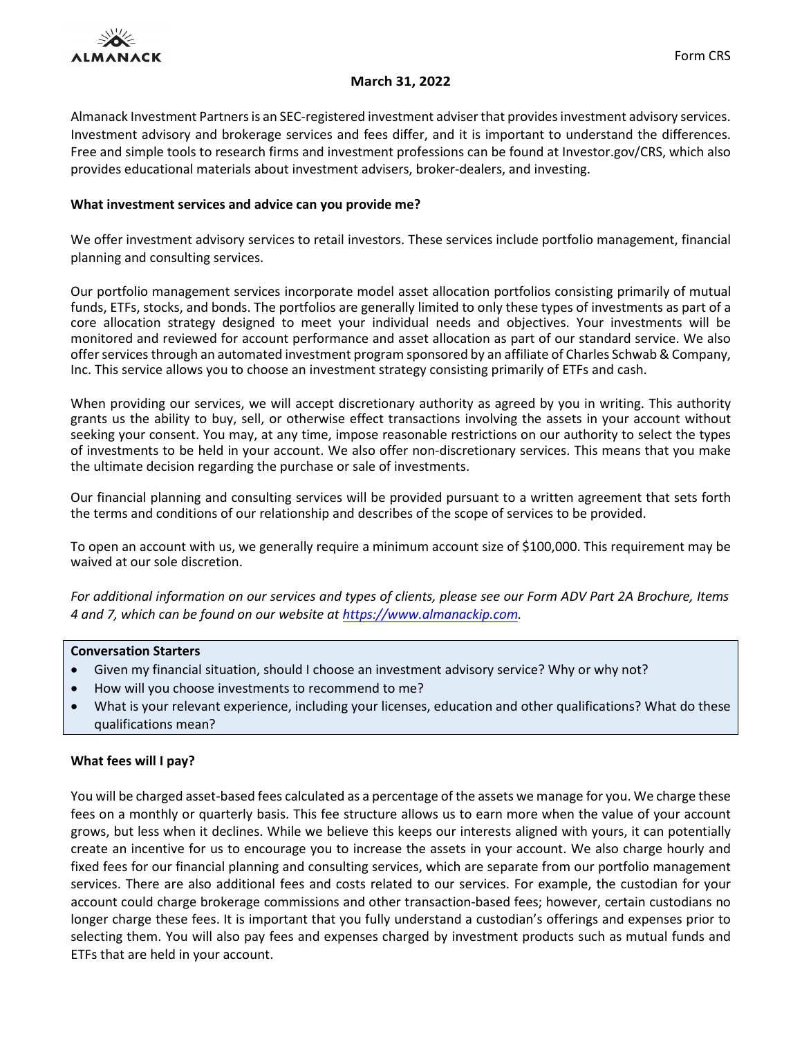

# **March 31, 2022**

Almanack Investment Partnersis an SEC‐registered investment adviserthat provides investment advisory services. Investment advisory and brokerage services and fees differ, and it is important to understand the differences. Free and simple tools to research firms and investment professions can be found at [Investor.gov/CRS,](https://www.investor.gov/CRS) which also provides educational materials about investment advisers, broker‐dealers, and investing.

## **What investment services and advice can you provide me?**

We offer investment advisory services to retail investors. These services include portfolio management, financial planning and consulting services.

Our portfolio management services incorporate model asset allocation portfolios consisting primarily of mutual funds, ETFs, stocks, and bonds. The portfolios are generally limited to only these types of investments as part of a core allocation strategy designed to meet your individual needs and objectives. Your investments will be monitored and reviewed for account performance and asset allocation as part of our standard service. We also offer servicesthrough an automated investment program sponsored by an affiliate of Charles Schwab & Company, Inc. This service allows you to choose an investment strategy consisting primarily of ETFs and cash.

When providing our services, we will accept discretionary authority as agreed by you in writing. This authority grants us the ability to buy, sell, or otherwise effect transactions involving the assets in your account without seeking your consent. You may, at any time, impose reasonable restrictions on our authority to select the types of investments to be held in your account. We also offer non‐discretionary services. This means that you make the ultimate decision regarding the purchase or sale of investments.

Our financial planning and consulting services will be provided pursuant to a written agreement that sets forth the terms and conditions of our relationship and describes of the scope of services to be provided.

To open an account with us, we generally require a minimum account size of \$100,000. This requirement may be waived at our sole discretion.

*For additional information on our services and types of clients, please see our Form ADV Part 2A Brochure, Items 4 and 7, which can be found on our website at [https://www.almanackip.com.](https://www.almanackip.com/)*

## **Conversation Starters**

- Given my financial situation, should I choose an investment advisory service? Why or why not?
- How will you choose investments to recommend to me?
- What is your relevant experience, including your licenses, education and other qualifications? What do these qualifications mean?

# **What fees will I pay?**

You will be charged asset-based fees calculated as a percentage of the assets we manage for you. We charge these fees on a monthly or quarterly basis. This fee structure allows us to earn more when the value of your account grows, but less when it declines. While we believe this keeps our interests aligned with yours, it can potentially create an incentive for us to encourage you to increase the assets in your account. We also charge hourly and fixed fees for our financial planning and consulting services, which are separate from our portfolio management services. There are also additional fees and costs related to our services. For example, the custodian for your account could charge brokerage commissions and other transaction-based fees; however, certain custodians no longer charge these fees. It is important that you fully understand a custodian's offerings and expenses prior to selecting them. You will also pay fees and expenses charged by investment products such as mutual funds and ETFs that are held in your account.